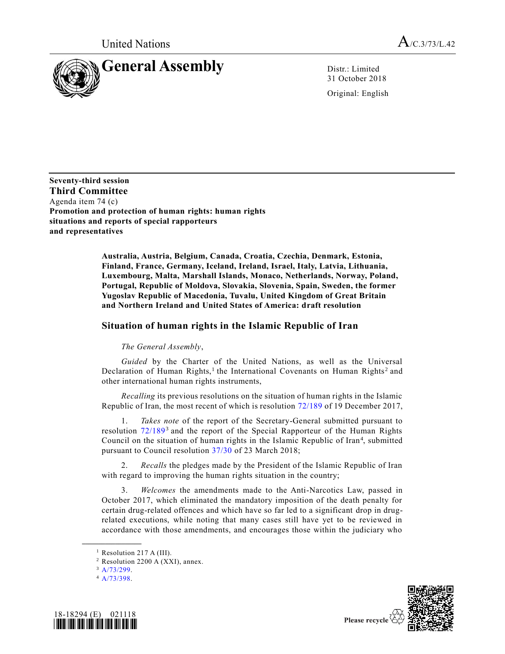

31 October 2018

Original: English

**Seventy-third session Third Committee** Agenda item 74 (c) **Promotion and protection of human rights: human rights situations and reports of special rapporteurs and representatives**

> **Australia, Austria, Belgium, Canada, Croatia, Czechia, Denmark, Estonia, Finland, France, Germany, Iceland, Ireland, Israel, Italy, Latvia, Lithuania, Luxembourg, Malta, Marshall Islands, Monaco, Netherlands, Norway, Poland, Portugal, Republic of Moldova, Slovakia, Slovenia, Spain, Sweden, the former Yugoslav Republic of Macedonia, Tuvalu, United Kingdom of Great Britain and Northern Ireland and United States of America: draft resolution**

## **Situation of human rights in the Islamic Republic of Iran**

## *The General Assembly*,

*Guided* by the Charter of the United Nations, as well as the Universal Declaration of Human Rights,<sup>1</sup> the International Covenants on Human Rights<sup>2</sup> and other international human rights instruments,

*Recalling* its previous resolutions on the situation of human rights in the Islamic Republic of Iran, the most recent of which is resolution [72/189](https://undocs.org/A/RES/72/189) of 19 December 2017,

1. *Takes note* of the report of the Secretary-General submitted pursuant to resolution [72/189](https://undocs.org/A/RES/72/189)<sup>3</sup> and the report of the Special Rapporteur of the Human Rights Council on the situation of human rights in the Islamic Republic of Iran<sup>4</sup>, submitted pursuant to Council resolution [37/30](https://undocs.org/A/RES/37/30) of 23 March 2018;

2. *Recalls* the pledges made by the President of the Islamic Republic of Iran with regard to improving the human rights situation in the country;

3. *Welcomes* the amendments made to the Anti-Narcotics Law, passed in October 2017, which eliminated the mandatory imposition of the death penalty for certain drug-related offences and which have so far led to a significant drop in drugrelated executions, while noting that many cases still have yet to be reviewed in accordance with those amendments, and encourages those within the judiciary who

**\_\_\_\_\_\_\_\_\_\_\_\_\_\_\_\_\_\_**

 $4$  [A/73/398.](https://undocs.org/A/73/398)





<sup>&</sup>lt;sup>1</sup> Resolution 217 A (III).

 $2$  Resolution 2200 A (XXI), annex.

 $3$  [A/73/299.](https://undocs.org/A/73/299)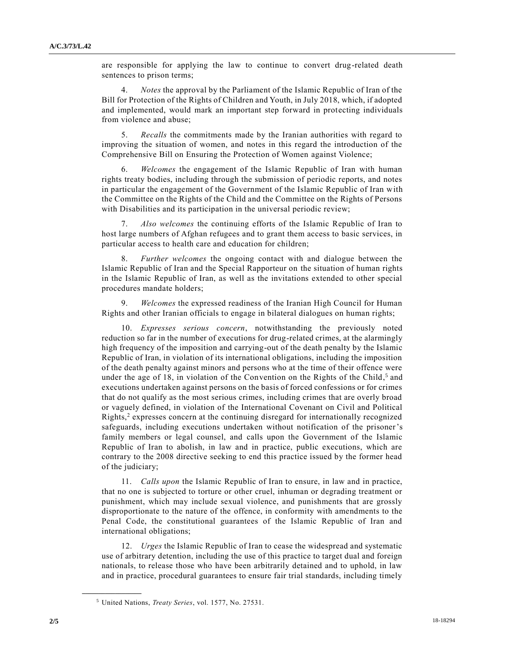are responsible for applying the law to continue to convert drug-related death sentences to prison terms;

4. *Notes* the approval by the Parliament of the Islamic Republic of Iran of the Bill for Protection of the Rights of Children and Youth, in July 2018, which, if adopted and implemented, would mark an important step forward in protecting individuals from violence and abuse;

5. *Recalls* the commitments made by the Iranian authorities with regard to improving the situation of women, and notes in this regard the introduction of the Comprehensive Bill on Ensuring the Protection of Women against Violence;

6. *Welcomes* the engagement of the Islamic Republic of Iran with human rights treaty bodies, including through the submission of periodic reports, and notes in particular the engagement of the Government of the Islamic Republic of Iran with the Committee on the Rights of the Child and the Committee on the Rights of Persons with Disabilities and its participation in the universal periodic review;

7. *Also welcomes* the continuing efforts of the Islamic Republic of Iran to host large numbers of Afghan refugees and to grant them access to basic services, in particular access to health care and education for children;

8. *Further welcomes* the ongoing contact with and dialogue between the Islamic Republic of Iran and the Special Rapporteur on the situation of human rights in the Islamic Republic of Iran, as well as the invitations extended to other special procedures mandate holders;

9. *Welcomes* the expressed readiness of the Iranian High Council for Human Rights and other Iranian officials to engage in bilateral dialogues on human rights;

10. *Expresses serious concern*, notwithstanding the previously noted reduction so far in the number of executions for drug-related crimes, at the alarmingly high frequency of the imposition and carrying-out of the death penalty by the Islamic Republic of Iran, in violation of its international obligations, including the imposition of the death penalty against minors and persons who at the time of their offence were under the age of 18, in violation of the Convention on the Rights of the Child,<sup>5</sup> and executions undertaken against persons on the basis of forced confessions or for crimes that do not qualify as the most serious crimes, including crimes that are overly broad or vaguely defined, in violation of the International Covenant on Civil and Political Rights,<sup>2</sup> expresses concern at the continuing disregard for internationally recognized safeguards, including executions undertaken without notification of the prisoner's family members or legal counsel, and calls upon the Government of the Islamic Republic of Iran to abolish, in law and in practice, public executions, which are contrary to the 2008 directive seeking to end this practice issued by the former head of the judiciary;

11. *Calls upon* the Islamic Republic of Iran to ensure, in law and in practice, that no one is subjected to torture or other cruel, inhuman or degrading treatment or punishment, which may include sexual violence, and punishments that are grossly disproportionate to the nature of the offence, in conformity with amendments to the Penal Code, the constitutional guarantees of the Islamic Republic of Iran and international obligations;

12. *Urges* the Islamic Republic of Iran to cease the widespread and systematic use of arbitrary detention, including the use of this practice to target dual and foreign nationals, to release those who have been arbitrarily detained and to uphold, in law and in practice, procedural guarantees to ensure fair trial standards, including timely

**\_\_\_\_\_\_\_\_\_\_\_\_\_\_\_\_\_\_**

<sup>5</sup> United Nations, *Treaty Series*, vol. 1577, No. 27531.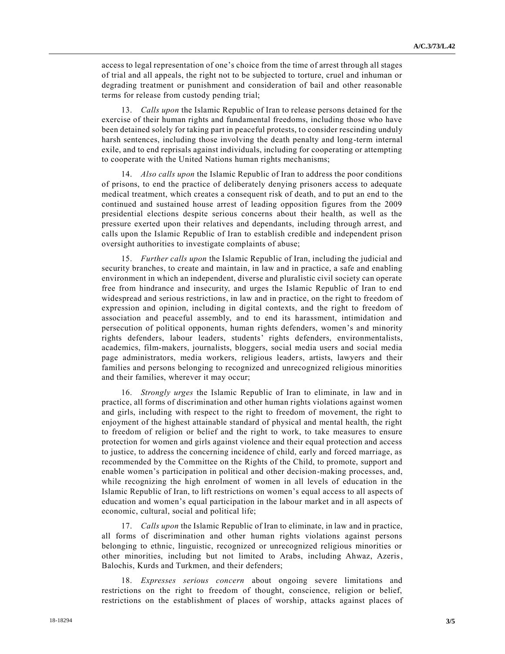access to legal representation of one's choice from the time of arrest through all stages of trial and all appeals, the right not to be subjected to torture, cruel and inhuman or degrading treatment or punishment and consideration of bail and other reasonable terms for release from custody pending trial;

13. *Calls upon* the Islamic Republic of Iran to release persons detained for the exercise of their human rights and fundamental freedoms, including those who have been detained solely for taking part in peaceful protests, to consider rescinding unduly harsh sentences, including those involving the death penalty and long-term internal exile, and to end reprisals against individuals, including for cooperating or attempting to cooperate with the United Nations human rights mechanisms;

14. *Also calls upon* the Islamic Republic of Iran to address the poor conditions of prisons, to end the practice of deliberately denying prisoners access to adequate medical treatment, which creates a consequent risk of death, and to put an end to the continued and sustained house arrest of leading opposition figures from the 2009 presidential elections despite serious concerns about their health, as well as the pressure exerted upon their relatives and dependants, including through arrest, and calls upon the Islamic Republic of Iran to establish credible and independent prison oversight authorities to investigate complaints of abuse;

15. *Further calls upon* the Islamic Republic of Iran, including the judicial and security branches, to create and maintain, in law and in practice, a safe and enabling environment in which an independent, diverse and pluralistic civil society can operate free from hindrance and insecurity, and urges the Islamic Republic of Iran to end widespread and serious restrictions, in law and in practice, on the right to freedom of expression and opinion, including in digital contexts, and the right to freedom of association and peaceful assembly, and to end its harassment, intimidation and persecution of political opponents, human rights defenders, women's and minority rights defenders, labour leaders, students' rights defenders, environmentalists, academics, film-makers, journalists, bloggers, social media users and social media page administrators, media workers, religious leaders, artists, lawyers and their families and persons belonging to recognized and unrecognized religious minorities and their families, wherever it may occur;

16. *Strongly urges* the Islamic Republic of Iran to eliminate, in law and in practice, all forms of discrimination and other human rights violations against women and girls, including with respect to the right to freedom of movement, the right to enjoyment of the highest attainable standard of physical and mental health, the right to freedom of religion or belief and the right to work, to take measures to ensure protection for women and girls against violence and their equal protection and access to justice, to address the concerning incidence of child, early and forced marriage, as recommended by the Committee on the Rights of the Child, to promote, support and enable women's participation in political and other decision-making processes, and, while recognizing the high enrolment of women in all levels of education in the Islamic Republic of Iran, to lift restrictions on women's equal access to all aspects of education and women's equal participation in the labour market and in all aspects of economic, cultural, social and political life;

17. *Calls upon* the Islamic Republic of Iran to eliminate, in law and in practice, all forms of discrimination and other human rights violations against persons belonging to ethnic, linguistic, recognized or unrecognized religious minorities or other minorities, including but not limited to Arabs, including Ahwaz, Azeris, Balochis, Kurds and Turkmen, and their defenders;

18. *Expresses serious concern* about ongoing severe limitations and restrictions on the right to freedom of thought, conscience, religion or belief, restrictions on the establishment of places of worship, attacks against places of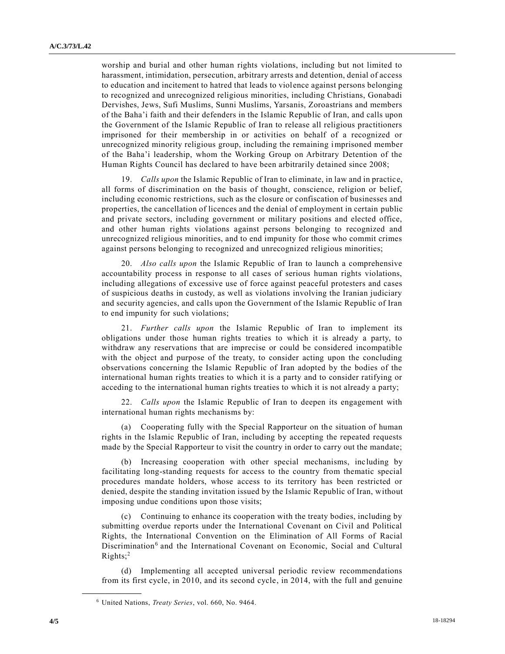worship and burial and other human rights violations, including but not limited to harassment, intimidation, persecution, arbitrary arrests and detention, denial of access to education and incitement to hatred that leads to violence against persons belonging to recognized and unrecognized religious minorities, including Christians, Gonabadi Dervishes, Jews, Sufi Muslims, Sunni Muslims, Yarsanis, Zoroastrians and members of the Baha'i faith and their defenders in the Islamic Republic of Iran, and calls upon the Government of the Islamic Republic of Iran to release all religious practitioners imprisoned for their membership in or activities on behalf of a recognized or unrecognized minority religious group, including the remaining imprisoned member of the Baha'i leadership, whom the Working Group on Arbitrary Detention of the Human Rights Council has declared to have been arbitrarily detained since 2008;

19. *Calls upon* the Islamic Republic of Iran to eliminate, in law and in practice, all forms of discrimination on the basis of thought, conscience, religion or belief, including economic restrictions, such as the closure or confiscation of businesses and properties, the cancellation of licences and the denial of employment in certain public and private sectors, including government or military positions and elected office, and other human rights violations against persons belonging to recognized and unrecognized religious minorities, and to end impunity for those who commit crimes against persons belonging to recognized and unrecognized religious minorities;

20. *Also calls upon* the Islamic Republic of Iran to launch a comprehensive accountability process in response to all cases of serious human rights violations, including allegations of excessive use of force against peaceful protesters and cases of suspicious deaths in custody, as well as violations involving the Iranian judiciary and security agencies, and calls upon the Government of the Islamic Republic of Iran to end impunity for such violations;

21. *Further calls upon* the Islamic Republic of Iran to implement its obligations under those human rights treaties to which it is already a party, to withdraw any reservations that are imprecise or could be considered incompatible with the object and purpose of the treaty, to consider acting upon the concluding observations concerning the Islamic Republic of Iran adopted by the bodies of the international human rights treaties to which it is a party and to consider ratifying or acceding to the international human rights treaties to which it is not already a party;

22. *Calls upon* the Islamic Republic of Iran to deepen its engagement with international human rights mechanisms by:

(a) Cooperating fully with the Special Rapporteur on the situation of human rights in the Islamic Republic of Iran, including by accepting the repeated requests made by the Special Rapporteur to visit the country in order to carry out the mandate;

(b) Increasing cooperation with other special mechanisms, including by facilitating long-standing requests for access to the country from thematic special procedures mandate holders, whose access to its territory has been restricted or denied, despite the standing invitation issued by the Islamic Republic of Iran, without imposing undue conditions upon those visits;

(c) Continuing to enhance its cooperation with the treaty bodies, including by submitting overdue reports under the International Covenant on Civil and Political Rights, the International Convention on the Elimination of All Forms of Racial Discrimination<sup>6</sup> and the International Covenant on Economic, Social and Cultural  $Right's$ ;<sup>2</sup>

(d) Implementing all accepted universal periodic review recommendations from its first cycle, in 2010, and its second cycle, in 2014, with the full and genuine

**\_\_\_\_\_\_\_\_\_\_\_\_\_\_\_\_\_\_**

<sup>6</sup> United Nations, *Treaty Series*, vol. 660, No. 9464.